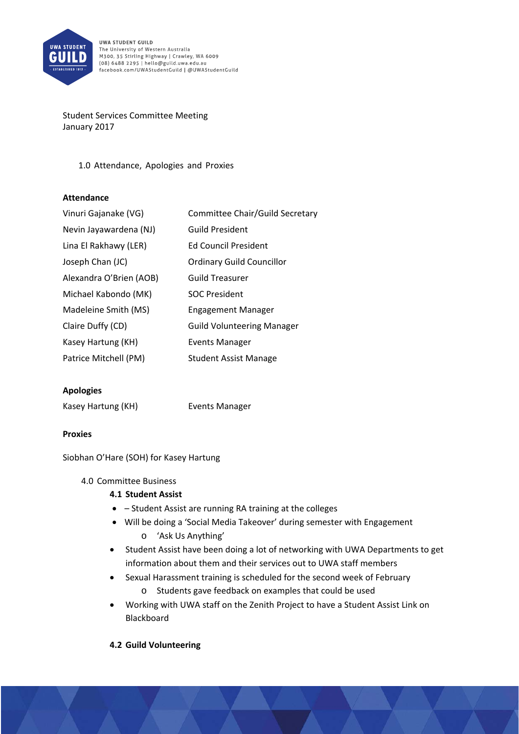

Student Services Committee Meeting January 2017

1.0 Attendance, Apologies and Proxies

### **Attendance**

| Vinuri Gajanake (VG)    | Committee Chair/Guild Secretary   |
|-------------------------|-----------------------------------|
| Nevin Jayawardena (NJ)  | <b>Guild President</b>            |
| Lina El Rakhawy (LER)   | <b>Ed Council President</b>       |
| Joseph Chan (JC)        | <b>Ordinary Guild Councillor</b>  |
| Alexandra O'Brien (AOB) | <b>Guild Treasurer</b>            |
| Michael Kabondo (MK)    | <b>SOC President</b>              |
| Madeleine Smith (MS)    | <b>Engagement Manager</b>         |
| Claire Duffy (CD)       | <b>Guild Volunteering Manager</b> |
| Kasey Hartung (KH)      | Events Manager                    |
| Patrice Mitchell (PM)   | <b>Student Assist Manage</b>      |

### **Apologies**

| Kasey Hartung (KH) | <b>Events Manager</b> |
|--------------------|-----------------------|
|                    |                       |

### **Proxies**

Siobhan O'Hare (SOH) for Kasey Hartung

### 4.0 Committee Business

### **4.1 Student Assist**

- Student Assist are running RA training at the colleges
- Will be doing a 'Social Media Takeover' during semester with Engagement
	- o 'Ask Us Anything'
- Student Assist have been doing a lot of networking with UWA Departments to get information about them and their services out to UWA staff members
	- Sexual Harassment training is scheduled for the second week of February
		- o Students gave feedback on examples that could be used
- Working with UWA staff on the Zenith Project to have a Student Assist Link on Blackboard

### **4.2 Guild Volunteering**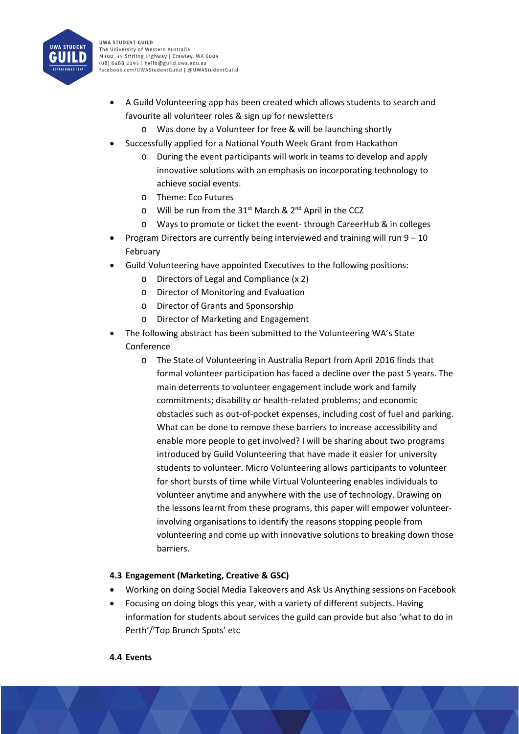

- A Guild Volunteering app has been created which allows students to search and favourite all volunteer roles & sign up for newsletters
	- o Was done by a Volunteer for free & will be launching shortly
- Successfully applied for a National Youth Week Grant from Hackathon
	- o During the event participants will work in teams to develop and apply innovative solutions with an emphasis on incorporating technology to achieve social events.
	- o Theme: Eco Futures
	- $\circ$  Will be run from the 31<sup>st</sup> March & 2<sup>nd</sup> April in the CCZ
	- o Ways to promote or ticket the event‐ through CareerHub & in colleges
- Program Directors are currently being interviewed and training will run 9 10 February
- Guild Volunteering have appointed Executives to the following positions:
	- o Directors of Legal and Compliance (x 2)
	- o Director of Monitoring and Evaluation
	- o Director of Grants and Sponsorship
	- o Director of Marketing and Engagement
- The following abstract has been submitted to the Volunteering WA's State Conference
	- o The State of Volunteering in Australia Report from April 2016 finds that formal volunteer participation has faced a decline over the past 5 years. The main deterrents to volunteer engagement include work and family commitments; disability or health‐related problems; and economic obstacles such as out‐of‐pocket expenses, including cost of fuel and parking. What can be done to remove these barriers to increase accessibility and enable more people to get involved? I will be sharing about two programs introduced by Guild Volunteering that have made it easier for university students to volunteer. Micro Volunteering allows participants to volunteer for short bursts of time while Virtual Volunteering enables individuals to volunteer anytime and anywhere with the use of technology. Drawing on the lessons learnt from these programs, this paper will empower volunteer‐ involving organisations to identify the reasons stopping people from volunteering and come up with innovative solutions to breaking down those barriers.

# **4.3 Engagement (Marketing, Creative & GSC)**

- Working on doing Social Media Takeovers and Ask Us Anything sessions on Facebook
- Focusing on doing blogs this year, with a variety of different subjects. Having information for students about services the guild can provide but also 'what to do in Perth'/'Top Brunch Spots' etc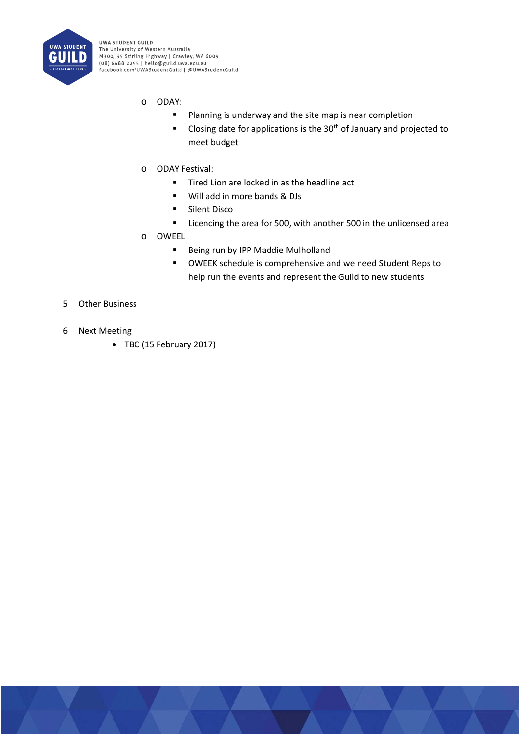

- o ODAY:
	- **Planning is underway and the site map is near completion**
	- Closing date for applications is the  $30<sup>th</sup>$  of January and projected to meet budget
- o ODAY Festival:
	- **Tired Lion are locked in as the headline act**
	- Will add in more bands & DJs
	- **Silent Disco**
	- **EXEDEE 11** Licencing the area for 500, with another 500 in the unlicensed area
- o OWEEL
	- **Being run by IPP Maddie Mulholland**
	- OWEEK schedule is comprehensive and we need Student Reps to help run the events and represent the Guild to new students
- 5 Other Business
- 6 Next Meeting
	- TBC (15 February 2017)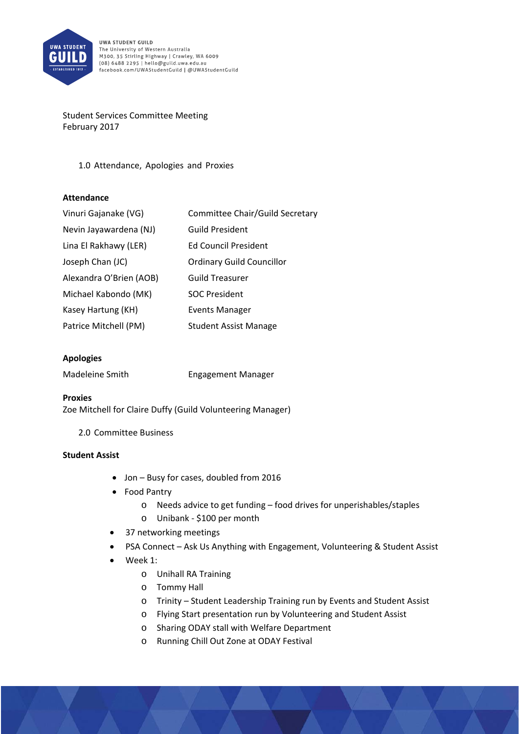

Student Services Committee Meeting February 2017

1.0 Attendance, Apologies and Proxies

### **Attendance**

| Vinuri Gajanake (VG)    | Committee Chair/Guild Secretary  |
|-------------------------|----------------------------------|
| Nevin Jayawardena (NJ)  | Guild President                  |
| Lina El Rakhawy (LER)   | <b>Ed Council President</b>      |
| Joseph Chan (JC)        | <b>Ordinary Guild Councillor</b> |
| Alexandra O'Brien (AOB) | <b>Guild Treasurer</b>           |
| Michael Kabondo (MK)    | <b>SOC President</b>             |
| Kasey Hartung (KH)      | Events Manager                   |
| Patrice Mitchell (PM)   | Student Assist Manage            |

### **Apologies**

| Madeleine Smith | <b>Engagement Manager</b> |
|-----------------|---------------------------|
|                 |                           |

### **Proxies**

Zoe Mitchell for Claire Duffy (Guild Volunteering Manager)

2.0 Committee Business

### **Student Assist**

- Jon Busy for cases, doubled from 2016
- Food Pantry
	- o Needs advice to get funding food drives for unperishables/staples
	- o Unibank ‐ \$100 per month
- 37 networking meetings
- PSA Connect Ask Us Anything with Engagement, Volunteering & Student Assist
- Week 1:
	- o Unihall RA Training
	- o Tommy Hall
	- o Trinity Student Leadership Training run by Events and Student Assist
	- o Flying Start presentation run by Volunteering and Student Assist
	- o Sharing ODAY stall with Welfare Department
	- o Running Chill Out Zone at ODAY Festival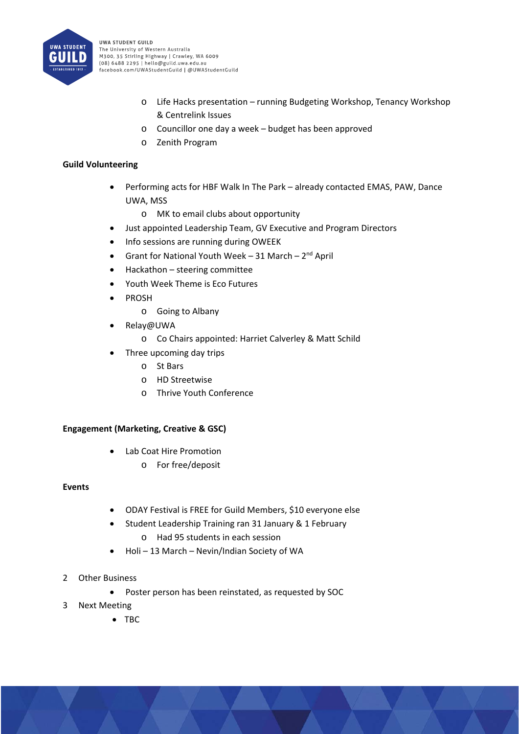

- o Life Hacks presentation running Budgeting Workshop, Tenancy Workshop & Centrelink Issues
- o Councillor one day a week budget has been approved
- o Zenith Program

## **Guild Volunteering**

- Performing acts for HBF Walk In The Park already contacted EMAS, PAW, Dance UWA, MSS
	- o MK to email clubs about opportunity
- Just appointed Leadership Team, GV Executive and Program Directors
- Info sessions are running during OWEEK
- Grant for National Youth Week 31 March  $2^{nd}$  April
- Hackathon steering committee
- Youth Week Theme is Eco Futures
- PROSH
	- o Going to Albany
- Relay@UWA
	- o Co Chairs appointed: Harriet Calverley & Matt Schild
- Three upcoming day trips
	- o St Bars
	- o HD Streetwise
	- o Thrive Youth Conference

### **Engagement (Marketing, Creative & GSC)**

- Lab Coat Hire Promotion
	- o For free/deposit

### **Events**

- ODAY Festival is FREE for Guild Members, \$10 everyone else
- Student Leadership Training ran 31 January & 1 February
	- o Had 95 students in each session
- Holi 13 March Nevin/Indian Society of WA
- 2 Other Business
	- Poster person has been reinstated, as requested by SOC
- 3 Next Meeting
	- TBC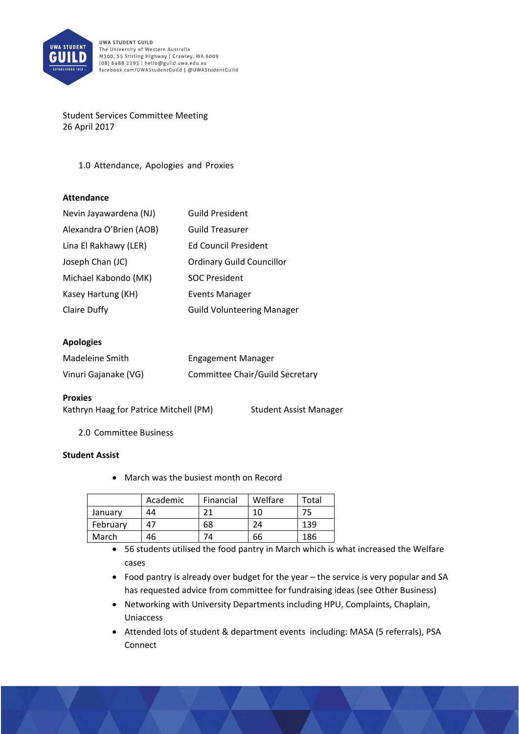

Student Services Committee Meeting 26 April 2017

1.0 Attendance, Apologies and Proxies

## **Attendance**

| Nevin Jayawardena (NJ)  | <b>Guild President</b>            |
|-------------------------|-----------------------------------|
| Alexandra O'Brien (AOB) | <b>Guild Treasurer</b>            |
| Lina El Rakhawy (LER)   | <b>Ed Council President</b>       |
| Joseph Chan (JC)        | <b>Ordinary Guild Councillor</b>  |
| Michael Kabondo (MK)    | <b>SOC President</b>              |
| Kasey Hartung (KH)      | <b>Events Manager</b>             |
| Claire Duffy            | <b>Guild Volunteering Manager</b> |

### **Apologies**

| Madeleine Smith      | Engagement Manager              |
|----------------------|---------------------------------|
| Vinuri Gajanake (VG) | Committee Chair/Guild Secretary |

## **Proxies**

| Kathryn Haag for Patrice Mitchell (PM) | <b>Student Assist Manager</b> |
|----------------------------------------|-------------------------------|
|----------------------------------------|-------------------------------|

2.0 Committee Business

### **Student Assist**

March was the busiest month on Record

|          | Academic | Financial | Welfare | Total |
|----------|----------|-----------|---------|-------|
| January  | 44       | ว 1       | 10      |       |
| February | Λ7       | 68        | 24      | 139   |
| March    | 46       |           | 66      | 186   |

- 56 students utilised the food pantry in March which is what increased the Welfare cases
- Food pantry is already over budget for the year the service is very popular and SA has requested advice from committee for fundraising ideas (see Other Business)
- Networking with University Departments including HPU, Complaints, Chaplain, Uniaccess
- Attended lots of student & department events including: MASA (5 referrals), PSA Connect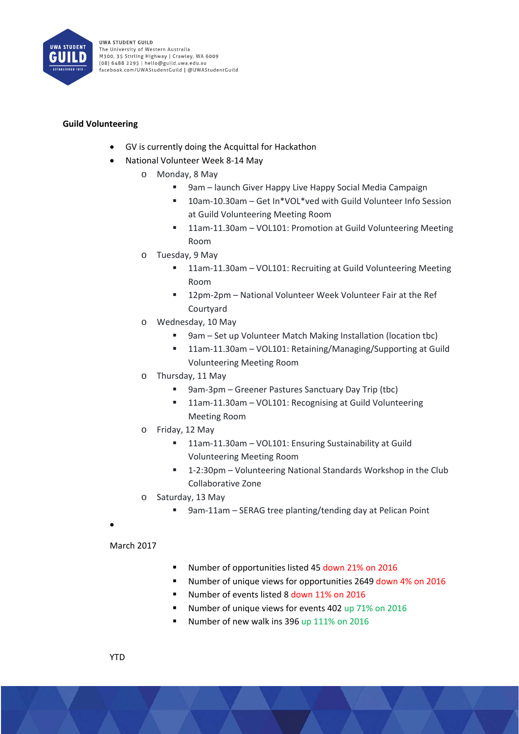

# **Guild Volunteering**

- GV is currently doing the Acquittal for Hackathon
- National Volunteer Week 8‐14 May
	- o Monday, 8 May
		- 9am launch Giver Happy Live Happy Social Media Campaign
		- 10am-10.30am Get In\*VOL\*ved with Guild Volunteer Info Session at Guild Volunteering Meeting Room
		- 11am-11.30am VOL101: Promotion at Guild Volunteering Meeting Room
	- o Tuesday, 9 May
		- 11am-11.30am VOL101: Recruiting at Guild Volunteering Meeting Room
		- 12pm-2pm National Volunteer Week Volunteer Fair at the Ref Courtyard
	- o Wednesday, 10 May
		- 9am Set up Volunteer Match Making Installation (location tbc)
		- 11am-11.30am VOL101: Retaining/Managing/Supporting at Guild Volunteering Meeting Room
	- o Thursday, 11 May
		- 9am-3pm Greener Pastures Sanctuary Day Trip (tbc)
		- 11am-11.30am VOL101: Recognising at Guild Volunteering Meeting Room
	- o Friday, 12 May
		- 11am-11.30am VOL101: Ensuring Sustainability at Guild Volunteering Meeting Room
		- 1-2:30pm Volunteering National Standards Workshop in the Club Collaborative Zone
	- o Saturday, 13 May
		- 9am-11am SERAG tree planting/tending day at Pelican Point

 $\bullet$ 

- March 2017
- Number of opportunities listed 45 down 21% on 2016
- Number of unique views for opportunities 2649 down 4% on 2016
- Number of events listed 8 down 11% on 2016
- Number of unique views for events 402 up 71% on 2016
- Number of new walk ins 396 up 111% on 2016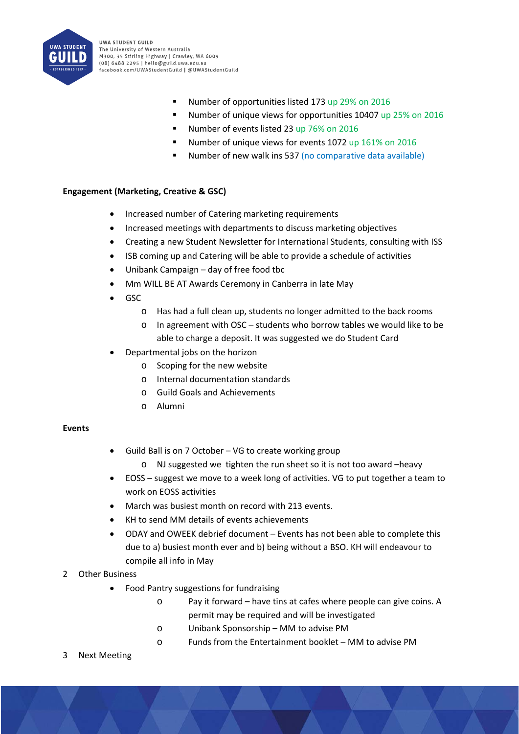

- Number of opportunities listed 173 up 29% on 2016
- Number of unique views for opportunities 10407 up 25% on 2016
- Number of events listed 23 up 76% on 2016
- Number of unique views for events 1072 up 161% on 2016
- Number of new walk ins 537 (no comparative data available)

### **Engagement (Marketing, Creative & GSC)**

- Increased number of Catering marketing requirements
- Increased meetings with departments to discuss marketing objectives
- Creating a new Student Newsletter for International Students, consulting with ISS
- ISB coming up and Catering will be able to provide a schedule of activities
- Unibank Campaign day of free food tbc
- Mm WILL BE AT Awards Ceremony in Canberra in late May
- GSC
	- o Has had a full clean up, students no longer admitted to the back rooms
	- o In agreement with OSC students who borrow tables we would like to be able to charge a deposit. It was suggested we do Student Card
- Departmental jobs on the horizon
	- o Scoping for the new website
	- o Internal documentation standards
	- o Guild Goals and Achievements
	- o Alumni

### **Events**

- Guild Ball is on 7 October VG to create working group
	- o NJ suggested we tighten the run sheet so it is not too award –heavy
- EOSS suggest we move to a week long of activities. VG to put together a team to work on EOSS activities
- March was busiest month on record with 213 events.
- KH to send MM details of events achievements
- ODAY and OWEEK debrief document Events has not been able to complete this due to a) busiest month ever and b) being without a BSO. KH will endeavour to compile all info in May

### 2 Other Business

- Food Pantry suggestions for fundraising
	- o Pay it forward have tins at cafes where people can give coins. A permit may be required and will be investigated
	- o Unibank Sponsorship MM to advise PM
	- o Funds from the Entertainment booklet MM to advise PM
- 3 Next Meeting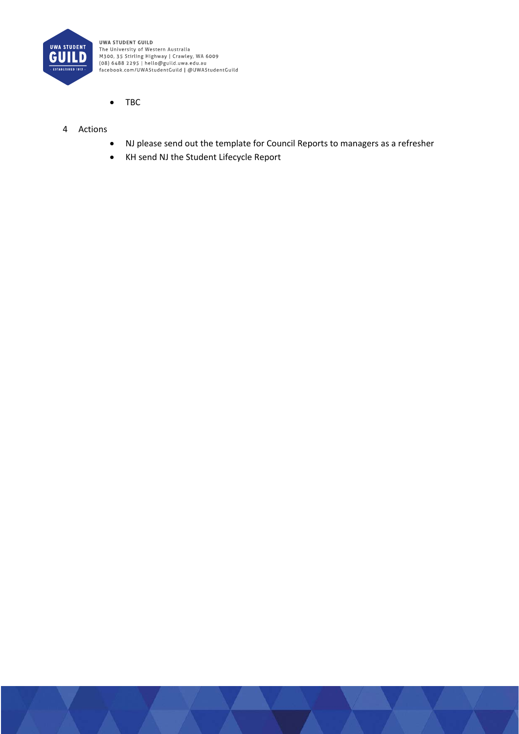

UWA STUDENT GUILD The University of Western Australia M300, 35 Stirling Highway | Crawley, WA 6009<br>| M300, 35 Stirling Highway | Crawley, WA 6009<br>| Casebook.com/UWAStudentGuild | @UWAStudentGuild

- TBC
- 4 Actions
	- NJ please send out the template for Council Reports to managers as a refresher
	- KH send NJ the Student Lifecycle Report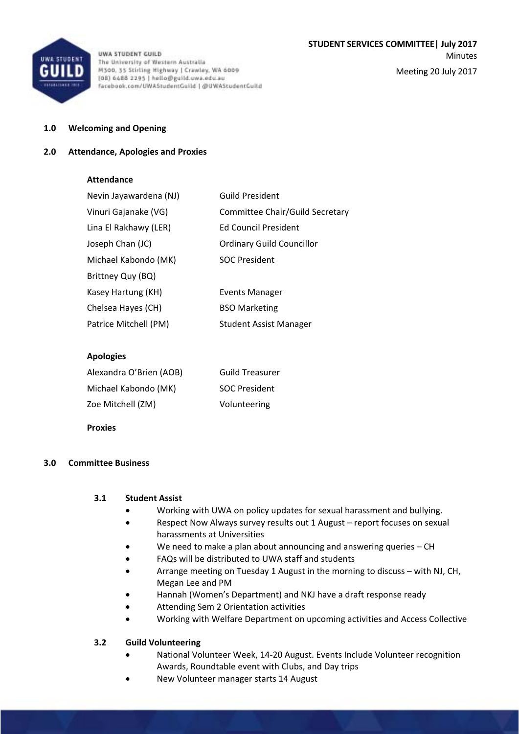

## **1.0 Welcoming and Opening**

## **2.0 Attendance, Apologies and Proxies**

#### **Attendance**

| Nevin Jayawardena (NJ) | <b>Guild President</b>           |
|------------------------|----------------------------------|
| Vinuri Gajanake (VG)   | Committee Chair/Guild Secretary  |
| Lina El Rakhawy (LER)  | <b>Ed Council President</b>      |
| Joseph Chan (JC)       | <b>Ordinary Guild Councillor</b> |
| Michael Kabondo (MK)   | <b>SOC President</b>             |
| Brittney Quy (BQ)      |                                  |
| Kasey Hartung (KH)     | Events Manager                   |
| Chelsea Hayes (CH)     | <b>BSO Marketing</b>             |
| Patrice Mitchell (PM)  | <b>Student Assist Manager</b>    |
|                        |                                  |

## **Apologies**

| Alexandra O'Brien (AOB) | <b>Guild Treasurer</b> |
|-------------------------|------------------------|
| Michael Kabondo (MK)    | <b>SOC President</b>   |
| Zoe Mitchell (ZM)       | Volunteering           |

**Proxies** 

### **3.0 Committee Business**

### **3.1 Student Assist**

- Working with UWA on policy updates for sexual harassment and bullying.
- Respect Now Always survey results out 1 August report focuses on sexual harassments at Universities
- We need to make a plan about announcing and answering queries CH
- FAQs will be distributed to UWA staff and students
- Arrange meeting on Tuesday 1 August in the morning to discuss with NJ, CH, Megan Lee and PM
- Hannah (Women's Department) and NKJ have a draft response ready
- Attending Sem 2 Orientation activities
- Working with Welfare Department on upcoming activities and Access Collective

### **3.2 Guild Volunteering**

- National Volunteer Week, 14‐20 August. Events Include Volunteer recognition Awards, Roundtable event with Clubs, and Day trips
- New Volunteer manager starts 14 August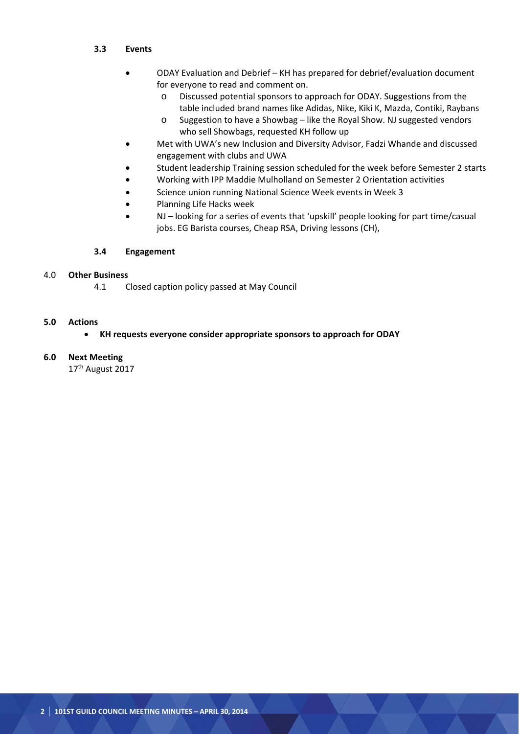- **3.3 Events** 
	- ODAY Evaluation and Debrief KH has prepared for debrief/evaluation document for everyone to read and comment on.
		- o Discussed potential sponsors to approach for ODAY. Suggestions from the table included brand names like Adidas, Nike, Kiki K, Mazda, Contiki, Raybans
		- o Suggestion to have a Showbag like the Royal Show. NJ suggested vendors who sell Showbags, requested KH follow up
	- Met with UWA's new Inclusion and Diversity Advisor, Fadzi Whande and discussed engagement with clubs and UWA
	- Student leadership Training session scheduled for the week before Semester 2 starts
	- Working with IPP Maddie Mulholland on Semester 2 Orientation activities
	- Science union running National Science Week events in Week 3
	- Planning Life Hacks week
	- NJ looking for a series of events that 'upskill' people looking for part time/casual jobs. EG Barista courses, Cheap RSA, Driving lessons (CH),

## **3.4 Engagement**

## 4.0 **Other Business**

4.1 Closed caption policy passed at May Council

## **5.0 Actions**

# **KH requests everyone consider appropriate sponsors to approach for ODAY**

# **6.0 Next Meeting**

17<sup>th</sup> August 2017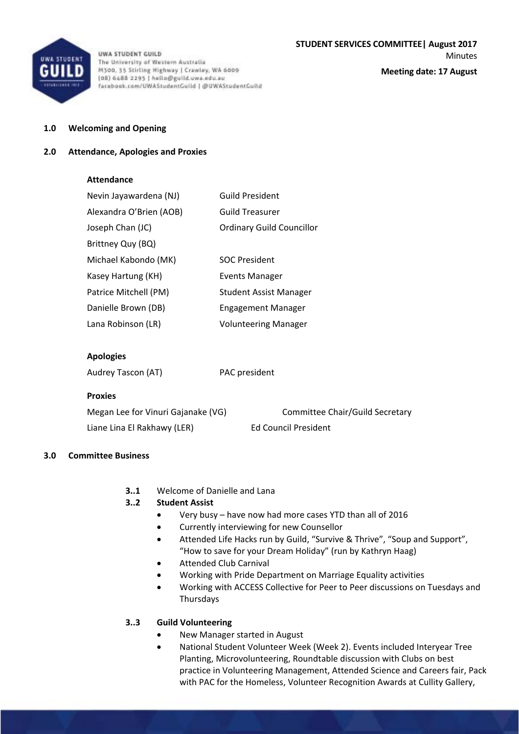

**1.0 Welcoming and Opening** 

# **2.0 Attendance, Apologies and Proxies**

# **Attendance**

| Nevin Jayawardena (NJ)  | <b>Guild President</b>           |
|-------------------------|----------------------------------|
| Alexandra O'Brien (AOB) | <b>Guild Treasurer</b>           |
| Joseph Chan (JC)        | <b>Ordinary Guild Councillor</b> |
| Brittney Quy (BQ)       |                                  |
| Michael Kabondo (MK)    | <b>SOC President</b>             |
| Kasey Hartung (KH)      | Events Manager                   |
| Patrice Mitchell (PM)   | <b>Student Assist Manager</b>    |
| Danielle Brown (DB)     | <b>Engagement Manager</b>        |
| Lana Robinson (LR)      | <b>Volunteering Manager</b>      |

## **Apologies**

| Audrey Tascon (AT) | PAC president |
|--------------------|---------------|

### **Proxies**

Megan Lee for Vinuri Gajanake (VG) Committee Chair/Guild Secretary Liane Lina El Rakhawy (LER) Ed Council President

### **3.0 Committee Business**

**3..1** Welcome of Danielle and Lana

# **3..2 Student Assist**

- Very busy have now had more cases YTD than all of 2016
- Currently interviewing for new Counsellor
- Attended Life Hacks run by Guild, "Survive & Thrive", "Soup and Support", "How to save for your Dream Holiday" (run by Kathryn Haag)
- Attended Club Carnival
- Working with Pride Department on Marriage Equality activities
- Working with ACCESS Collective for Peer to Peer discussions on Tuesdays and Thursdays

# **3..3 Guild Volunteering**

- New Manager started in August
- National Student Volunteer Week (Week 2). Events included Interyear Tree Planting, Microvolunteering, Roundtable discussion with Clubs on best practice in Volunteering Management, Attended Science and Careers fair, Pack with PAC for the Homeless, Volunteer Recognition Awards at Cullity Gallery,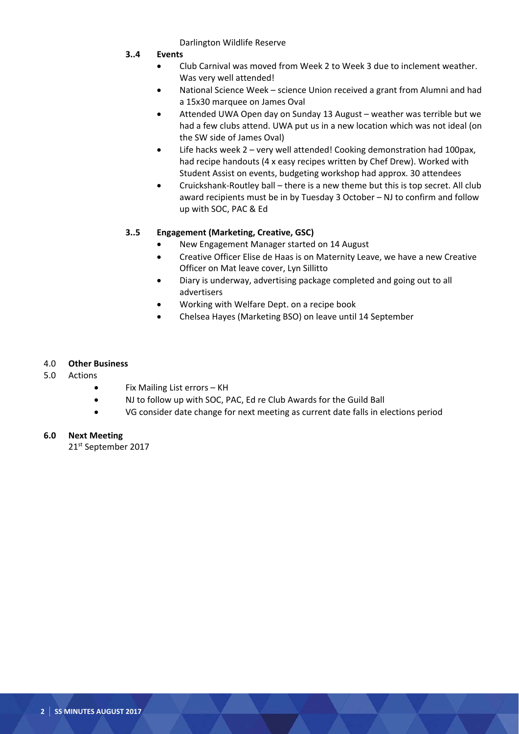Darlington Wildlife Reserve

- **3..4 Events** 
	- Club Carnival was moved from Week 2 to Week 3 due to inclement weather. Was very well attended!
	- National Science Week science Union received a grant from Alumni and had a 15x30 marquee on James Oval
	- Attended UWA Open day on Sunday 13 August weather was terrible but we had a few clubs attend. UWA put us in a new location which was not ideal (on the SW side of James Oval)
	- Life hacks week 2 very well attended! Cooking demonstration had 100pax, had recipe handouts (4 x easy recipes written by Chef Drew). Worked with Student Assist on events, budgeting workshop had approx. 30 attendees
	- Cruickshank‐Routley ball there is a new theme but this is top secret. All club award recipients must be in by Tuesday 3 October – NJ to confirm and follow up with SOC, PAC & Ed

# **3..5 Engagement (Marketing, Creative, GSC)**

- New Engagement Manager started on 14 August
- Creative Officer Elise de Haas is on Maternity Leave, we have a new Creative Officer on Mat leave cover, Lyn Sillitto
- Diary is underway, advertising package completed and going out to all advertisers
- Working with Welfare Dept. on a recipe book
- Chelsea Hayes (Marketing BSO) on leave until 14 September

## 4.0 **Other Business**

- 5.0 Actions
	- Fix Mailing List errors KH
	- NJ to follow up with SOC, PAC, Ed re Club Awards for the Guild Ball
	- VG consider date change for next meeting as current date falls in elections period

# **6.0 Next Meeting**

21<sup>st</sup> September 2017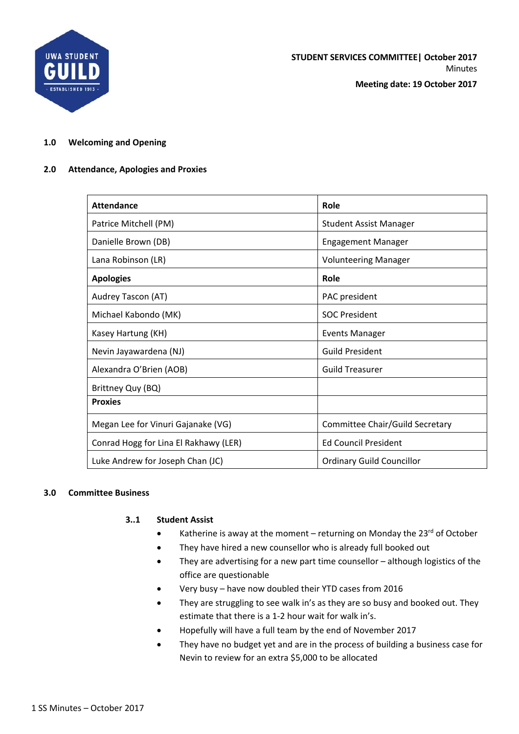

**Meeting date: 19 October 2017**

## **1.0 Welcoming and Opening**

## **2.0 Attendance, Apologies and Proxies**

| <b>Attendance</b>                     | Role                             |
|---------------------------------------|----------------------------------|
| Patrice Mitchell (PM)                 | <b>Student Assist Manager</b>    |
| Danielle Brown (DB)                   | <b>Engagement Manager</b>        |
| Lana Robinson (LR)                    | <b>Volunteering Manager</b>      |
| <b>Apologies</b>                      | <b>Role</b>                      |
| Audrey Tascon (AT)                    | PAC president                    |
| Michael Kabondo (MK)                  | <b>SOC President</b>             |
| Kasey Hartung (KH)                    | <b>Events Manager</b>            |
| Nevin Jayawardena (NJ)                | <b>Guild President</b>           |
| Alexandra O'Brien (AOB)               | <b>Guild Treasurer</b>           |
| Brittney Quy (BQ)                     |                                  |
| <b>Proxies</b>                        |                                  |
| Megan Lee for Vinuri Gajanake (VG)    | Committee Chair/Guild Secretary  |
| Conrad Hogg for Lina El Rakhawy (LER) | <b>Ed Council President</b>      |
| Luke Andrew for Joseph Chan (JC)      | <b>Ordinary Guild Councillor</b> |

### **3.0 Committee Business**

# **3..1 Student Assist**

- Katherine is away at the moment returning on Monday the  $23^{rd}$  of October
- They have hired a new counsellor who is already full booked out
- They are advertising for a new part time counsellor although logistics of the office are questionable
- Very busy have now doubled their YTD cases from 2016
- They are struggling to see walk in's as they are so busy and booked out. They estimate that there is a 1‐2 hour wait for walk in's.
- Hopefully will have a full team by the end of November 2017
- They have no budget yet and are in the process of building a business case for Nevin to review for an extra \$5,000 to be allocated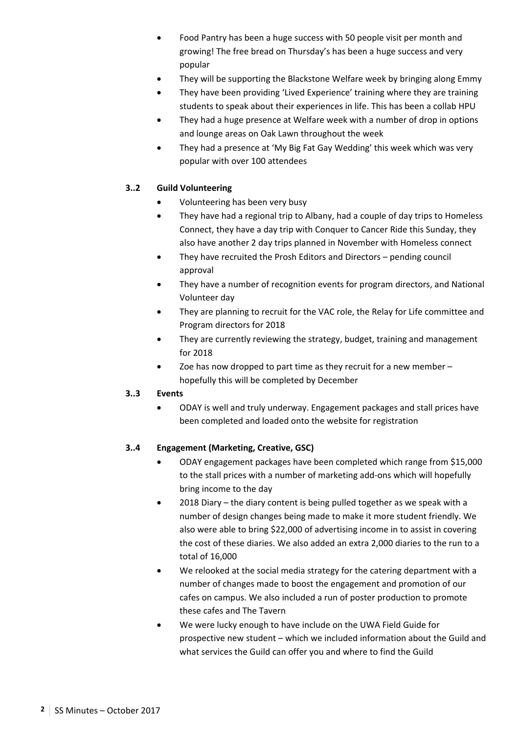- Food Pantry has been a huge success with 50 people visit per month and growing! The free bread on Thursday's has been a huge success and very popular
- They will be supporting the Blackstone Welfare week by bringing along Emmy
- They have been providing 'Lived Experience' training where they are training students to speak about their experiences in life. This has been a collab HPU
- They had a huge presence at Welfare week with a number of drop in options and lounge areas on Oak Lawn throughout the week
- They had a presence at 'My Big Fat Gay Wedding' this week which was very popular with over 100 attendees

# **3..2 Guild Volunteering**

- Volunteering has been very busy
- They have had a regional trip to Albany, had a couple of day trips to Homeless Connect, they have a day trip with Conquer to Cancer Ride this Sunday, they also have another 2 day trips planned in November with Homeless connect
- They have recruited the Prosh Editors and Directors pending council approval
- They have a number of recognition events for program directors, and National Volunteer day
- They are planning to recruit for the VAC role, the Relay for Life committee and Program directors for 2018
- They are currently reviewing the strategy, budget, training and management for 2018
- Zoe has now dropped to part time as they recruit for a new member hopefully this will be completed by December

# **3..3 Events**

 ODAY is well and truly underway. Engagement packages and stall prices have been completed and loaded onto the website for registration

# **3..4 Engagement (Marketing, Creative, GSC)**

- ODAY engagement packages have been completed which range from \$15,000 to the stall prices with a number of marketing add‐ons which will hopefully bring income to the day
- 2018 Diary the diary content is being pulled together as we speak with a number of design changes being made to make it more student friendly. We also were able to bring \$22,000 of advertising income in to assist in covering the cost of these diaries. We also added an extra 2,000 diaries to the run to a total of 16,000
- We relooked at the social media strategy for the catering department with a number of changes made to boost the engagement and promotion of our cafes on campus. We also included a run of poster production to promote these cafes and The Tavern
- We were lucky enough to have include on the UWA Field Guide for prospective new student – which we included information about the Guild and what services the Guild can offer you and where to find the Guild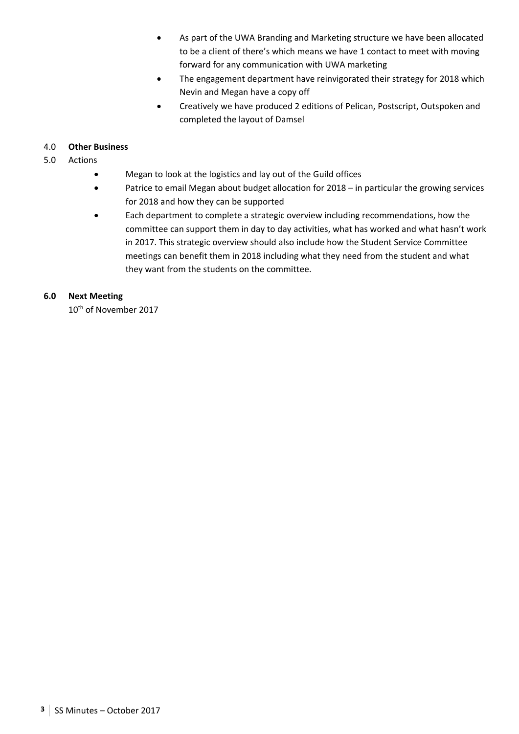- As part of the UWA Branding and Marketing structure we have been allocated to be a client of there's which means we have 1 contact to meet with moving forward for any communication with UWA marketing
- The engagement department have reinvigorated their strategy for 2018 which Nevin and Megan have a copy off
- Creatively we have produced 2 editions of Pelican, Postscript, Outspoken and completed the layout of Damsel

# 4.0 **Other Business**

- 5.0 Actions
	- Megan to look at the logistics and lay out of the Guild offices
	- Patrice to email Megan about budget allocation for 2018 in particular the growing services for 2018 and how they can be supported
	- Each department to complete a strategic overview including recommendations, how the committee can support them in day to day activities, what has worked and what hasn't work in 2017. This strategic overview should also include how the Student Service Committee meetings can benefit them in 2018 including what they need from the student and what they want from the students on the committee.

### **6.0 Next Meeting**

10<sup>th</sup> of November 2017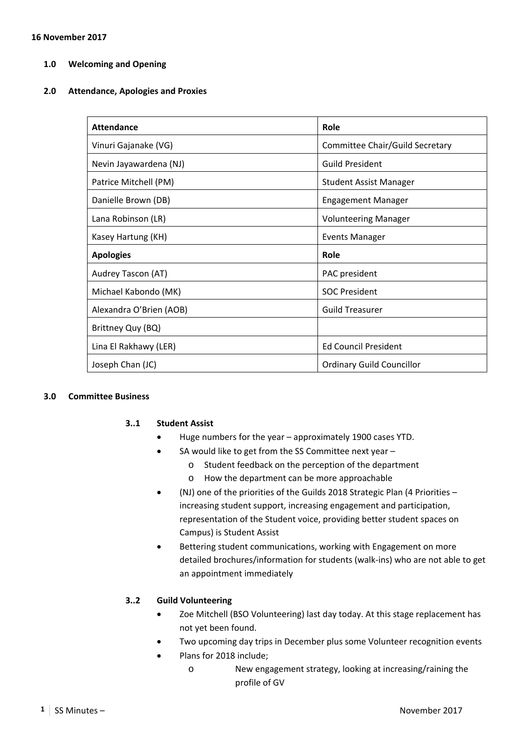#### **16 November 2017**

### **1.0 Welcoming and Opening**

### **2.0 Attendance, Apologies and Proxies**

| <b>Attendance</b>       | Role                             |
|-------------------------|----------------------------------|
| Vinuri Gajanake (VG)    | Committee Chair/Guild Secretary  |
| Nevin Jayawardena (NJ)  | <b>Guild President</b>           |
| Patrice Mitchell (PM)   | <b>Student Assist Manager</b>    |
| Danielle Brown (DB)     | <b>Engagement Manager</b>        |
| Lana Robinson (LR)      | <b>Volunteering Manager</b>      |
| Kasey Hartung (KH)      | Events Manager                   |
| <b>Apologies</b>        | Role                             |
| Audrey Tascon (AT)      | PAC president                    |
| Michael Kabondo (MK)    | <b>SOC President</b>             |
| Alexandra O'Brien (AOB) | <b>Guild Treasurer</b>           |
| Brittney Quy (BQ)       |                                  |
| Lina El Rakhawy (LER)   | <b>Ed Council President</b>      |
| Joseph Chan (JC)        | <b>Ordinary Guild Councillor</b> |

### **3.0 Committee Business**

### **3..1 Student Assist**

- Huge numbers for the year approximately 1900 cases YTD.
- SA would like to get from the SS Committee next year
	- o Student feedback on the perception of the department
	- o How the department can be more approachable
- (NJ) one of the priorities of the Guilds 2018 Strategic Plan (4 Priorities increasing student support, increasing engagement and participation, representation of the Student voice, providing better student spaces on Campus) is Student Assist
- Bettering student communications, working with Engagement on more detailed brochures/information for students (walk‐ins) who are not able to get an appointment immediately

### **3..2 Guild Volunteering**

- Zoe Mitchell (BSO Volunteering) last day today. At this stage replacement has not yet been found.
- Two upcoming day trips in December plus some Volunteer recognition events
	- Plans for 2018 include;
		- o New engagement strategy, looking at increasing/raining the profile of GV